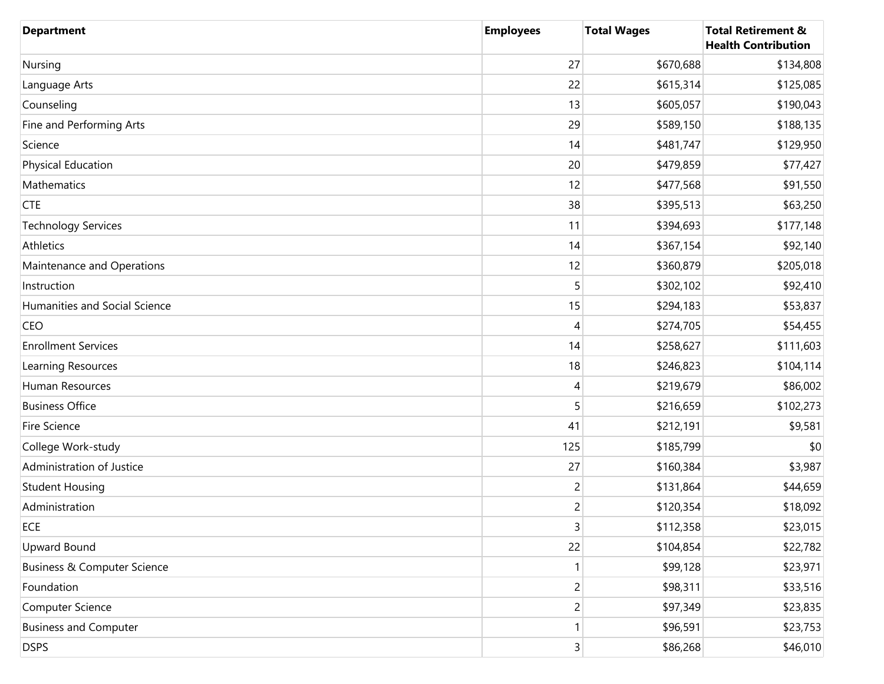| <b>Department</b>                      | <b>Employees</b> | <b>Total Wages</b> | <b>Total Retirement &amp;</b><br><b>Health Contribution</b> |
|----------------------------------------|------------------|--------------------|-------------------------------------------------------------|
| Nursing                                | 27               | \$670,688          | \$134,808                                                   |
| Language Arts                          | 22               | \$615,314          | \$125,085                                                   |
| Counseling                             | 13               | \$605,057          | \$190,043                                                   |
| Fine and Performing Arts               | 29               | \$589,150          | \$188,135                                                   |
| Science                                | 14               | \$481,747          | \$129,950                                                   |
| Physical Education                     | 20               | \$479,859          | \$77,427                                                    |
| Mathematics                            | 12               | \$477,568          | \$91,550                                                    |
| <b>CTE</b>                             | 38               | \$395,513          | \$63,250                                                    |
| <b>Technology Services</b>             | 11               | \$394,693          | \$177,148                                                   |
| Athletics                              | 14               | \$367,154          | \$92,140                                                    |
| Maintenance and Operations             | 12               | \$360,879          | \$205,018                                                   |
| Instruction                            | 5                | \$302,102          | \$92,410                                                    |
| Humanities and Social Science          | 15               | \$294,183          | \$53,837                                                    |
| CEO                                    | 4                | \$274,705          | \$54,455                                                    |
| <b>Enrollment Services</b>             | 14               | \$258,627          | \$111,603                                                   |
| Learning Resources                     | 18               | \$246,823          | \$104,114                                                   |
| Human Resources                        | 4                | \$219,679          | \$86,002                                                    |
| <b>Business Office</b>                 | 5                | \$216,659          | \$102,273                                                   |
| Fire Science                           | 41               | \$212,191          | \$9,581                                                     |
| College Work-study                     | 125              | \$185,799          | \$0                                                         |
| Administration of Justice              | 27               | \$160,384          | \$3,987                                                     |
| <b>Student Housing</b>                 | $\overline{c}$   | \$131,864          | \$44,659                                                    |
| Administration                         | $\overline{c}$   | \$120,354          | \$18,092                                                    |
| ECE                                    | $\mathsf{3}$     | \$112,358          | \$23,015                                                    |
| <b>Upward Bound</b>                    | 22               | \$104,854          | \$22,782                                                    |
| <b>Business &amp; Computer Science</b> | 1                | \$99,128           | \$23,971                                                    |
| Foundation                             | 2                | \$98,311           | \$33,516                                                    |
| Computer Science                       | $\overline{c}$   | \$97,349           | \$23,835                                                    |
| <b>Business and Computer</b>           | 1                | \$96,591           | \$23,753                                                    |
| <b>DSPS</b>                            | 3 <sup>1</sup>   | \$86,268           | \$46,010                                                    |